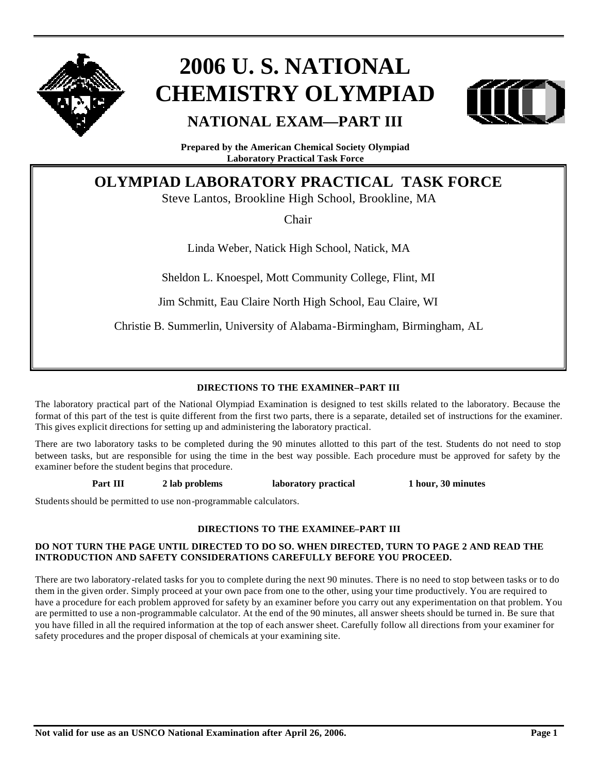

# **2006 U. S. NATIONAL CHEMISTRY OLYMPIAD**



### **NATIONAL EXAM—PART III**

**Prepared by the American Chemical Society Olympiad Laboratory Practical Task Force**

### **OLYMPIAD LABORATORY PRACTICAL TASK FORCE**

Steve Lantos, Brookline High School, Brookline, MA

Chair

Linda Weber, Natick High School, Natick, MA

Sheldon L. Knoespel, Mott Community College, Flint, MI

Jim Schmitt, Eau Claire North High School, Eau Claire, WI

Christie B. Summerlin, University of Alabama-Birmingham, Birmingham, AL

### **DIRECTIONS TO THE EXAMINER–PART III**

The laboratory practical part of the National Olympiad Examination is designed to test skills related to the laboratory. Because the format of this part of the test is quite different from the first two parts, there is a separate, detailed set of instructions for the examiner. This gives explicit directions for setting up and administering the laboratory practical.

There are two laboratory tasks to be completed during the 90 minutes allotted to this part of the test. Students do not need to stop between tasks, but are responsible for using the time in the best way possible. Each procedure must be approved for safety by the examiner before the student begins that procedure.

**Part III 2 lab problems laboratory practical 1 hour, 30 minutes**

Students should be permitted to use non-programmable calculators.

#### **DIRECTIONS TO THE EXAMINEE–PART III**

#### **DO NOT TURN THE PAGE UNTIL DIRECTED TO DO SO. WHEN DIRECTED, TURN TO PAGE 2 AND READ THE INTRODUCTION AND SAFETY CONSIDERATIONS CAREFULLY BEFORE YOU PROCEED.**

There are two laboratory-related tasks for you to complete during the next 90 minutes. There is no need to stop between tasks or to do them in the given order. Simply proceed at your own pace from one to the other, using your time productively. You are required to have a procedure for each problem approved for safety by an examiner before you carry out any experimentation on that problem. You are permitted to use a non-programmable calculator. At the end of the 90 minutes, all answer sheets should be turned in. Be sure that you have filled in all the required information at the top of each answer sheet. Carefully follow all directions from your examiner for safety procedures and the proper disposal of chemicals at your examining site.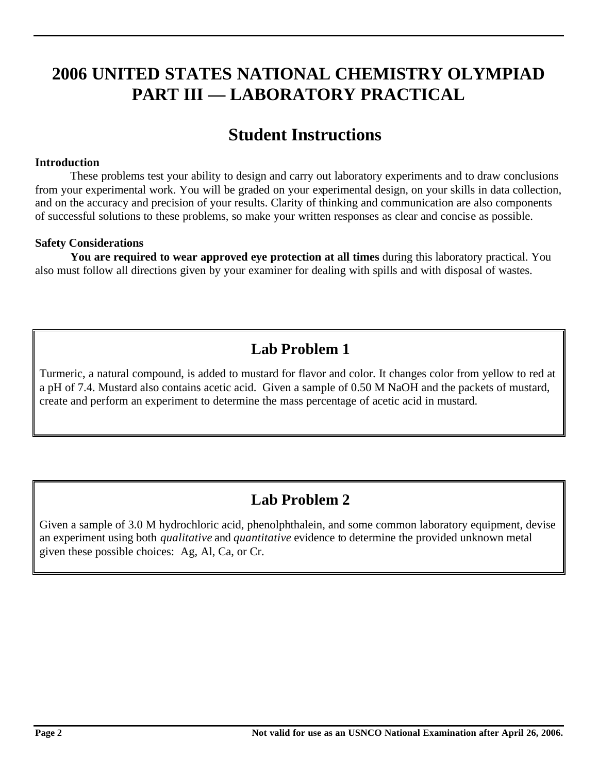# **2006 UNITED STATES NATIONAL CHEMISTRY OLYMPIAD PART III — LABORATORY PRACTICAL**

# **Student Instructions**

### **Introduction**

These problems test your ability to design and carry out laboratory experiments and to draw conclusions from your experimental work. You will be graded on your experimental design, on your skills in data collection, and on the accuracy and precision of your results. Clarity of thinking and communication are also components of successful solutions to these problems, so make your written responses as clear and concise as possible.

### **Safety Considerations**

**You are required to wear approved eye protection at all times** during this laboratory practical. You also must follow all directions given by your examiner for dealing with spills and with disposal of wastes.

### **Lab Problem 1**

Turmeric, a natural compound, is added to mustard for flavor and color. It changes color from yellow to red at a pH of 7.4. Mustard also contains acetic acid. Given a sample of 0.50 M NaOH and the packets of mustard, create and perform an experiment to determine the mass percentage of acetic acid in mustard.

### **Lab Problem 2**

Given a sample of 3.0 M hydrochloric acid, phenolphthalein, and some common laboratory equipment, devise an experiment using both *qualitative* and *quantitative* evidence to determine the provided unknown metal given these possible choices: Ag, Al, Ca, or Cr.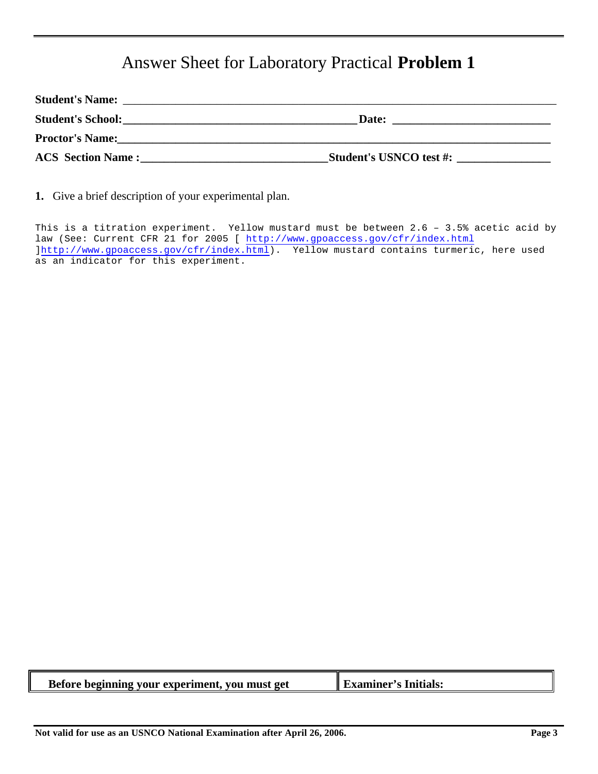## Answer Sheet for Laboratory Practical **Problem 1**

| <b>Student's Name:</b>   |                                |
|--------------------------|--------------------------------|
| <b>Student's School:</b> | Date:                          |
| <b>Proctor's Name:</b>   |                                |
| <b>ACS</b> Section Name: | <b>Student's USNCO test #:</b> |

**1.** Give a brief description of your experimental plan.

This is a titration experiment. Yellow mustard must be between 2.6 – 3.5% acetic acid by law (See: Current CFR 21 for 2005 [ http://www.gpoaccess.gov/cfr/index.html ]http://www.gpoaccess.gov/cfr/index.html). Yellow mustard contains turmeric, here used as an indicator for this experiment.

| Before beginning your experiment, you must get | $\parallel$ Examiner's Initials: |
|------------------------------------------------|----------------------------------|
|                                                |                                  |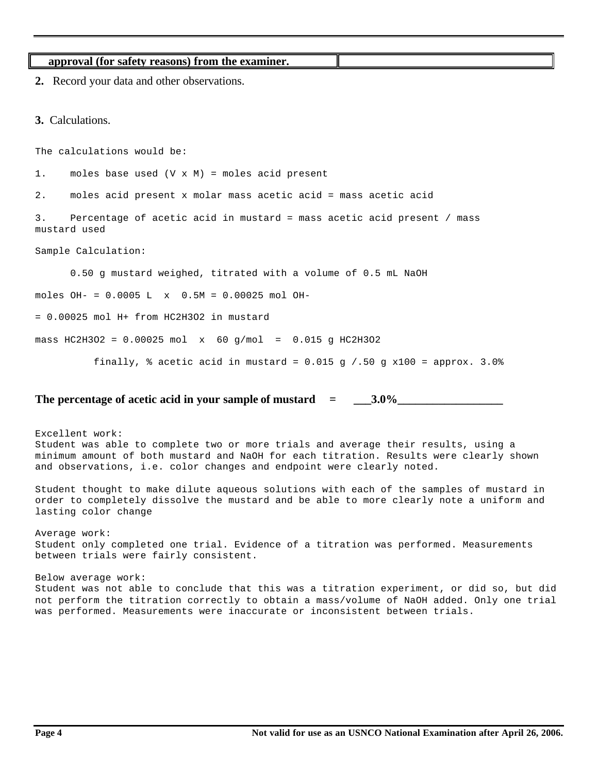```
approval (for safety reasons) from the examiner.
2. Record your data and other observations.
3. Calculations.
The calculations would be: 
1. moles base used (V x M) = moles acid present
2. moles acid present x molar mass acetic acid = mass acetic acid 
3. Percentage of acetic acid in mustard = mass acetic acid present / mass
mustard used
Sample Calculation:
      0.50 g mustard weighed, titrated with a volume of 0.5 mL NaOH
moles OH- = 0.0005 L x 0.5M = 0.00025 mol OH-
= 0.00025 mol H+ from HC2H3O2 in mustard
mass HC2H3O2 = 0.00025 mol x 60 q/mol = 0.015 q HC2H3O2
```
finally,  $\frac{1}{2}$  acetic acid in mustard = 0.015 g /.50 g x100 = approx. 3.0%

### The percentage of acetic acid in your sample of mustard  $\qquad = \qquad$  3.0%

Excellent work: Student was able to complete two or more trials and average their results, using a minimum amount of both mustard and NaOH for each titration. Results were clearly shown and observations, i.e. color changes and endpoint were clearly noted.

Student thought to make dilute aqueous solutions with each of the samples of mustard in order to completely dissolve the mustard and be able to more clearly note a uniform and lasting color change

Average work: Student only completed one trial. Evidence of a titration was performed. Measurements between trials were fairly consistent.

Below average work: Student was not able to conclude that this was a titration experiment, or did so, but did not perform the titration correctly to obtain a mass/volume of NaOH added. Only one trial was performed. Measurements were inaccurate or inconsistent between trials.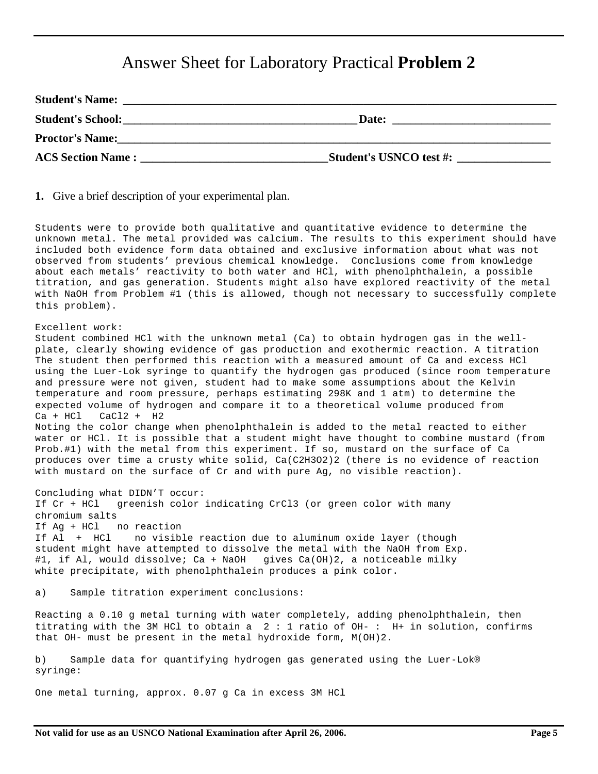### Answer Sheet for Laboratory Practical **Problem 2**

| <b>Student's Name:</b>   |                                |
|--------------------------|--------------------------------|
| <b>Student's School:</b> | Date:                          |
| <b>Proctor's Name:</b>   |                                |
| <b>ACS Section Name:</b> | <b>Student's USNCO test #:</b> |

**1.** Give a brief description of your experimental plan.

Students were to provide both qualitative and quantitative evidence to determine the unknown metal. The metal provided was calcium. The results to this experiment should have included both evidence form data obtained and exclusive information about what was not observed from students' previous chemical knowledge. Conclusions come from knowledge about each metals' reactivity to both water and HCl, with phenolphthalein, a possible titration, and gas generation. Students might also have explored reactivity of the metal with NaOH from Problem #1 (this is allowed, though not necessary to successfully complete this problem).

#### Excellent work:

Student combined HCl with the unknown metal (Ca) to obtain hydrogen gas in the wellplate, clearly showing evidence of gas production and exothermic reaction. A titration The student then performed this reaction with a measured amount of Ca and excess HCl using the Luer-Lok syringe to quantify the hydrogen gas produced (since room temperature and pressure were not given, student had to make some assumptions about the Kelvin temperature and room pressure, perhaps estimating 298K and 1 atm) to determine the expected volume of hydrogen and compare it to a theoretical volume produced from  $Ca + HCl$   $CaCl2 + H2$ Noting the color change when phenolphthalein is added to the metal reacted to either water or HCl. It is possible that a student might have thought to combine mustard (from Prob.#1) with the metal from this experiment. If so, mustard on the surface of Ca produces over time a crusty white solid, Ca(C2H3O2)2 (there is no evidence of reaction

Concluding what DIDN'T occur: If Cr + HCl greenish color indicating CrCl3 (or green color with many chromium salts If Ag + HCl no reaction If Al + HCl no visible reaction due to aluminum oxide layer (though student might have attempted to dissolve the metal with the NaOH from Exp. #1, if Al, would dissolve; Ca + NaOH gives Ca(OH)2, a noticeable milky white precipitate, with phenolphthalein produces a pink color.

with mustard on the surface of Cr and with pure Ag, no visible reaction).

a) Sample titration experiment conclusions:

Reacting a 0.10 g metal turning with water completely, adding phenolphthalein, then titrating with the 3M HCl to obtain a 2 : 1 ratio of OH- : H+ in solution, confirms that OH- must be present in the metal hydroxide form, M(OH)2.

b) Sample data for quantifying hydrogen gas generated using the Luer-Lok® syringe:

One metal turning, approx. 0.07 g Ca in excess 3M HCl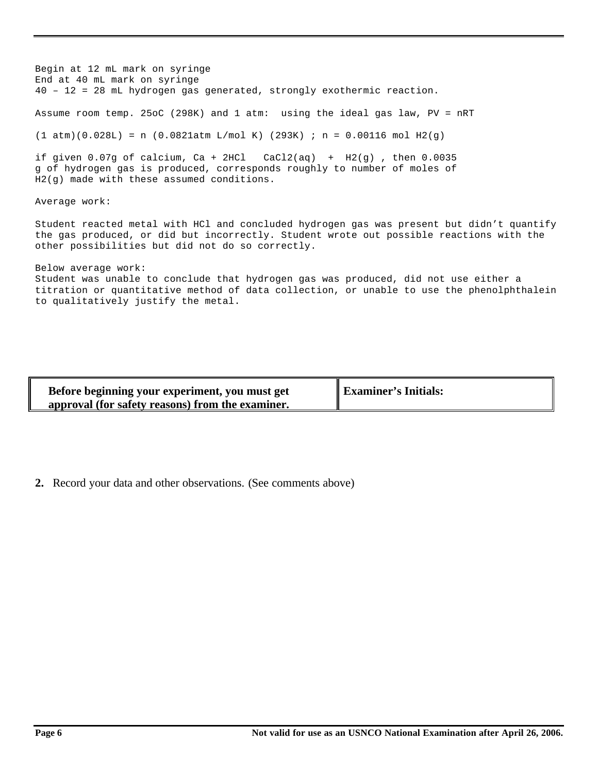Begin at 12 mL mark on syringe End at 40 mL mark on syringe 40 – 12 = 28 mL hydrogen gas generated, strongly exothermic reaction. Assume room temp. 25oC (298K) and 1 atm: using the ideal gas law, PV = nRT  $(1 atm)(0.028L) = n (0.0821atm L/mol K) (293K)$ ; n = 0.00116 mol H2(g) if given  $0.07g$  of calcium, Ca + 2HCl  $CaCl2(aq)$  + H2(g), then  $0.0035$ g of hydrogen gas is produced, corresponds roughly to number of moles of H2(g) made with these assumed conditions. Average work: Student reacted metal with HCl and concluded hydrogen gas was present but didn't quantify the gas produced, or did but incorrectly. Student wrote out possible reactions with the other possibilities but did not do so correctly.

#### Below average work: Student was unable to conclude that hydrogen gas was produced, did not use either a titration or quantitative method of data collection, or unable to use the phenolphthalein to qualitatively justify the metal.

| Before beginning your experiment, you must get<br>approval (for safety reasons) from the examiner. | <b>Examiner's Initials:</b> |
|----------------------------------------------------------------------------------------------------|-----------------------------|
|----------------------------------------------------------------------------------------------------|-----------------------------|

**2.** Record your data and other observations. (See comments above)